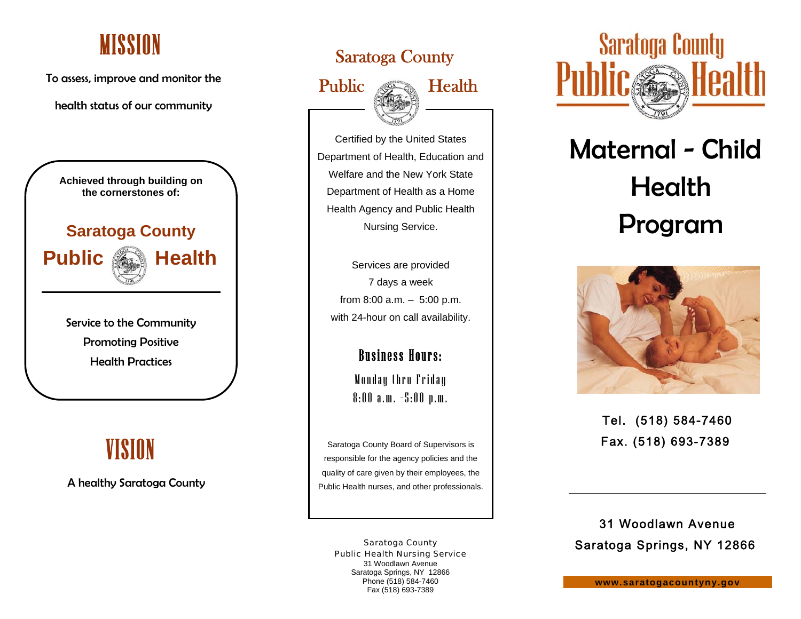### **MISSION**

To assess, improve and monitor the

health status of our community



# VISION

A healthy Saratoga County

### Saratoga County





Certified by the United States Department of Health, Education and Welfare and the New York State Department of Health as a Home Health Agency and Public Health Nursing Service.

Services are provided 7 days a week from 8:00 a.m. – 5:00 p.m. with 24-hour on call availability.

### Business Hours:

Monday thru Friday 8:00 a.m. –5:00 p.m.

Saratoga County Board of Supervisors is responsible for the agency policies and the quality of care given by their employees, the Public Health nurses, and other professionals.

Saratoga County Public Health Nursing Service 31 Woodlawn Avenue Saratoga Springs, NY 12866 Phone (518) 584-7460 Fax (518) 693-7389



# Maternal - Child Program



Tel. (518) 584-7460 Fax. (518) 693-7389

31 Woodlawn Avenue Saratoga Springs, NY 12866